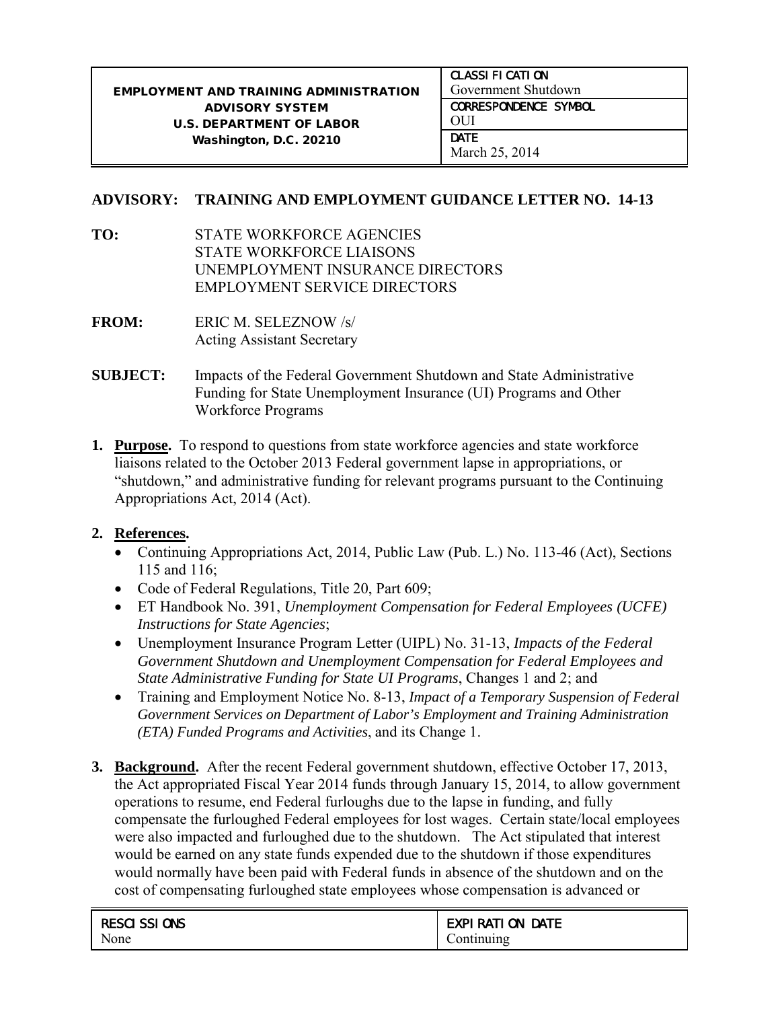## **ADVISORY: TRAINING AND EMPLOYMENT GUIDANCE LETTER NO. 14-13**

- **TO:** STATE WORKFORCE AGENCIES STATE WORKFORCE LIAISONS UNEMPLOYMENT INSURANCE DIRECTORS EMPLOYMENT SERVICE DIRECTORS
- **FROM:** ERIC M. SELEZNOW /s/ Acting Assistant Secretary
- **SUBJECT:** Impacts of the Federal Government Shutdown and State Administrative Funding for State Unemployment Insurance (UI) Programs and Other Workforce Programs
- **1. Purpose.** To respond to questions from state workforce agencies and state workforce liaisons related to the October 2013 Federal government lapse in appropriations, or "shutdown," and administrative funding for relevant programs pursuant to the Continuing Appropriations Act, 2014 (Act).

## **2. References.**

- Continuing Appropriations Act, 2014, Public Law (Pub. L.) No. 113-46 (Act), Sections 115 and 116;
- Code of Federal Regulations, Title 20, Part 609;
- ET Handbook No. 391, *Unemployment Compensation for Federal Employees (UCFE) Instructions for State Agencies*;
- Unemployment Insurance Program Letter (UIPL) No. 31-13, *Impacts of the Federal Government Shutdown and Unemployment Compensation for Federal Employees and State Administrative Funding for State UI Programs*, Changes 1 and 2; and
- Training and Employment Notice No. 8-13, *Impact of a Temporary Suspension of Federal Government Services on Department of Labor's Employment and Training Administration (ETA) Funded Programs and Activities*, and its Change 1.
- **3. Background.** After the recent Federal government shutdown, effective October 17, 2013, the Act appropriated Fiscal Year 2014 funds through January 15, 2014, to allow government operations to resume, end Federal furloughs due to the lapse in funding, and fully compensate the furloughed Federal employees for lost wages. Certain state/local employees were also impacted and furloughed due to the shutdown. The Act stipulated that interest would be earned on any state funds expended due to the shutdown if those expenditures would normally have been paid with Federal funds in absence of the shutdown and on the cost of compensating furloughed state employees whose compensation is advanced or

| RESCI SSI ONS | <b>EXPI RATI ON DATE</b> |
|---------------|--------------------------|
| None          | Continuing               |